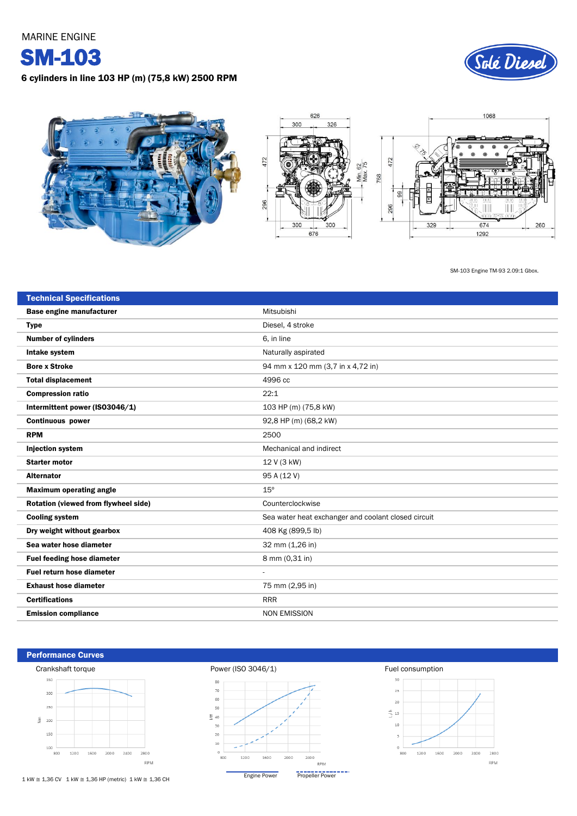MARINE ENGINE

SM-103

6 cylinders in line 103 HP (m) (75,8 kW) 2500 RPM





SM-103 Engine TM-93 2.09:1 Gbox.

| <b>Technical Specifications</b>      |                                                     |  |  |  |
|--------------------------------------|-----------------------------------------------------|--|--|--|
| Base engine manufacturer             | Mitsubishi                                          |  |  |  |
| <b>Type</b>                          | Diesel, 4 stroke                                    |  |  |  |
| <b>Number of cylinders</b>           | 6. in line                                          |  |  |  |
| Intake system                        | Naturally aspirated                                 |  |  |  |
| <b>Bore x Stroke</b>                 | 94 mm x 120 mm (3,7 in x 4,72 in)                   |  |  |  |
| <b>Total displacement</b>            | 4996 cc                                             |  |  |  |
| <b>Compression ratio</b>             | 22:1                                                |  |  |  |
| Intermittent power (ISO3046/1)       | 103 HP (m) (75,8 kW)                                |  |  |  |
| <b>Continuous power</b>              | 92,8 HP (m) (68,2 kW)                               |  |  |  |
| <b>RPM</b>                           | 2500                                                |  |  |  |
| <b>Injection system</b>              | Mechanical and indirect                             |  |  |  |
| <b>Starter motor</b>                 | 12 V (3 kW)                                         |  |  |  |
| <b>Alternator</b>                    | 95 A (12 V)                                         |  |  |  |
| <b>Maximum operating angle</b>       | $15^{\circ}$                                        |  |  |  |
| Rotation (viewed from flywheel side) | Counterclockwise                                    |  |  |  |
| <b>Cooling system</b>                | Sea water heat exchanger and coolant closed circuit |  |  |  |
| Dry weight without gearbox           | 408 Kg (899,5 lb)                                   |  |  |  |
| Sea water hose diameter              | 32 mm (1,26 in)                                     |  |  |  |
| <b>Fuel feeding hose diameter</b>    | 8 mm (0,31 in)                                      |  |  |  |
| Fuel return hose diameter            | $\overline{a}$                                      |  |  |  |
| <b>Exhaust hose diameter</b>         | 75 mm (2,95 in)                                     |  |  |  |
| <b>Certifications</b>                | <b>RRR</b>                                          |  |  |  |
| <b>Emission compliance</b>           | <b>NON EMISSION</b>                                 |  |  |  |

Performance Curves